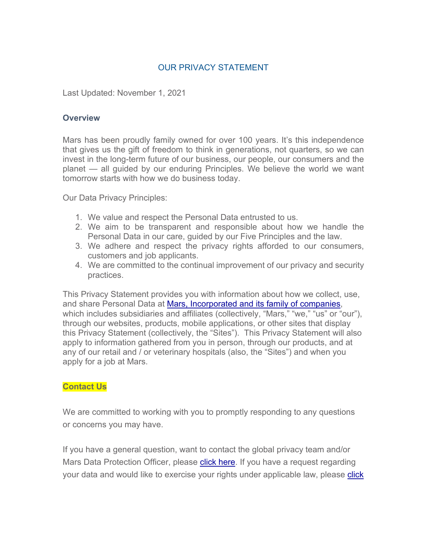## OUR PRIVACY STATEMENT

Last Updated: November 1, 2021

#### **Overview**

Mars has been proudly family owned for over 100 years. It's this independence that gives us the gift of freedom to think in generations, not quarters, so we can invest in the long-term future of our business, our people, our consumers and the planet — all guided by our enduring Principles. We believe the world we want tomorrow starts with how we do business today.

Our Data Privacy Principles:

- 1. We value and respect the Personal Data entrusted to us.
- 2. We aim to be transparent and responsible about how we handle the Personal Data in our care, guided by our Five Principles and the law.
- 3. We adhere and respect the privacy rights afforded to our consumers, customers and job applicants.
- 4. We are committed to the continual improvement of our privacy and security practices.

This Privacy Statement provides you with information about how we collect, use, and share Personal Data at [Mars, Incorporated and its family of companies,](https://www.mars.com/made-by-mars) which includes subsidiaries and affiliates (collectively, "Mars," "we," "us" or "our"), through our websites, products, mobile applications, or other sites that display this Privacy Statement (collectively, the "Sites"). This Privacy Statement will also apply to information gathered from you in person, through our products, and at any of our retail and / or veterinary hospitals (also, the "Sites") and when you apply for a job at Mars.

#### **Contact Us**

We are committed to working with you to promptly responding to any questions or concerns you may have.

If you have a general question, want to contact the global privacy team and/or Mars Data Protection Officer, please [click here.](https://privacyportal-eu-cdn.onetrust.com/dsarwebform/5f2759ff-9efe-412c-a3be-f13092d2c945/draft/52a0b366-5dde-4e9c-8c03-72676aac0cb7.html) If you have a request regarding your data and would like to exercise your rights under applicable law, please [click](https://privacyportal-eu-cdn.onetrust.com/dsarwebform/5f2759ff-9efe-412c-a3be-f13092d2c945/draft/9a93104f-e847-4c4b-85e8-dc821086d0cf.html)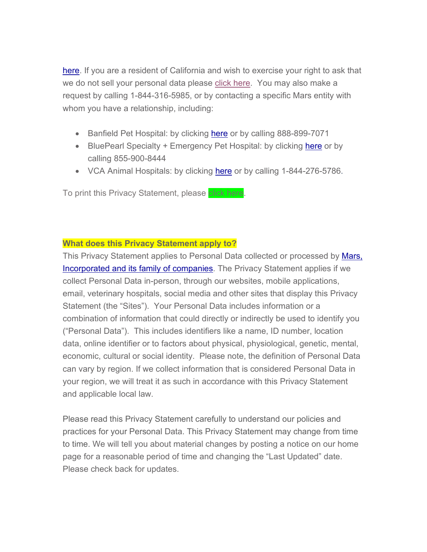[here.](https://privacyportal-eu-cdn.onetrust.com/dsarwebform/5f2759ff-9efe-412c-a3be-f13092d2c945/draft/9a93104f-e847-4c4b-85e8-dc821086d0cf.html) If you are a resident of California and wish to exercise your right to ask that we do not sell your personal data please [click here.](https://privacyportal-eu.onetrust.com/webform/5f2759ff-9efe-412c-a3be-f13092d2c945/98373dac-6247-48a6-a190-f0094af43ee8) You may also make a request by calling 1-844-316-5985, or by contacting a specific Mars entity with whom you have a relationship, including:

- Banfield Pet Hospital: by clicking [here](https://privacyportal-eu-cdn.onetrust.com/dsarwebform/5f2759ff-9efe-412c-a3be-f13092d2c945/0dc4c871-2bc5-4cd4-9bd0-9a1fcda6a4da.html) or by calling 888-899-7071
- BluePearl Specialty + Emergency Pet Hospital: by clicking [here](https://privacyportal-eu.onetrust.com/webform/5f2759ff-9efe-412c-a3be-f13092d2c945/8edb85a7-4d33-4cc0-a790-a39c24788247) or by calling 855-900-8444
- VCA Animal Hospitals: by clicking [here](https://privacyportal-eu-cdn.onetrust.com/dsarwebform/5f2759ff-9efe-412c-a3be-f13092d2c945/draft/f4834499-a0ae-4ad0-969c-e84ddc1ef86d.html) or by calling 1-844-276-5786.

To print this Privacy Statement, please click here.

## **What does this Privacy Statement apply to?**

This Privacy Statement applies to Personal Data collected or processed by Mars, [Incorporated and its family of companies.](https://www.mars.com/made-by-mars) The Privacy Statement applies if we collect Personal Data in-person, through our websites, mobile applications, email, veterinary hospitals, social media and other sites that display this Privacy Statement (the "Sites"). Your Personal Data includes information or a combination of information that could directly or indirectly be used to identify you ("Personal Data"). This includes identifiers like a name, ID number, location data, online identifier or to factors about physical, physiological, genetic, mental, economic, cultural or social identity. Please note, the definition of Personal Data can vary by region. If we collect information that is considered Personal Data in your region, we will treat it as such in accordance with this Privacy Statement and applicable local law.

Please read this Privacy Statement carefully to understand our policies and practices for your Personal Data. This Privacy Statement may change from time to time. We will tell you about material changes by posting a notice on our home page for a reasonable period of time and changing the "Last Updated" date. Please check back for updates.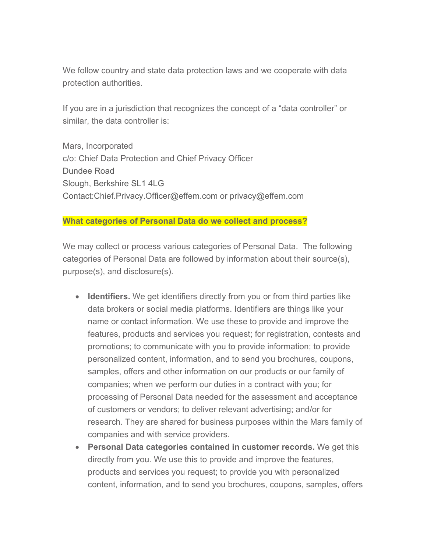We follow country and state data protection laws and we cooperate with data protection authorities.

If you are in a jurisdiction that recognizes the concept of a "data controller" or similar, the data controller is:

Mars, Incorporated c/o: Chief Data Protection and Chief Privacy Officer Dundee Road Slough, Berkshire SL1 4LG Contact:Chief.Privacy.Officer@effem.com or privacy@effem.com

#### **What categories of Personal Data do we collect and process?**

We may collect or process various categories of Personal Data. The following categories of Personal Data are followed by information about their source(s), purpose(s), and disclosure(s).

- **Identifiers.** We get identifiers directly from you or from third parties like data brokers or social media platforms. Identifiers are things like your name or contact information. We use these to provide and improve the features, products and services you request; for registration, contests and promotions; to communicate with you to provide information; to provide personalized content, information, and to send you brochures, coupons, samples, offers and other information on our products or our family of companies; when we perform our duties in a contract with you; for processing of Personal Data needed for the assessment and acceptance of customers or vendors; to deliver relevant advertising; and/or for research. They are shared for business purposes within the Mars family of companies and with service providers.
- **Personal Data categories contained in customer records.** We get this directly from you. We use this to provide and improve the features, products and services you request; to provide you with personalized content, information, and to send you brochures, coupons, samples, offers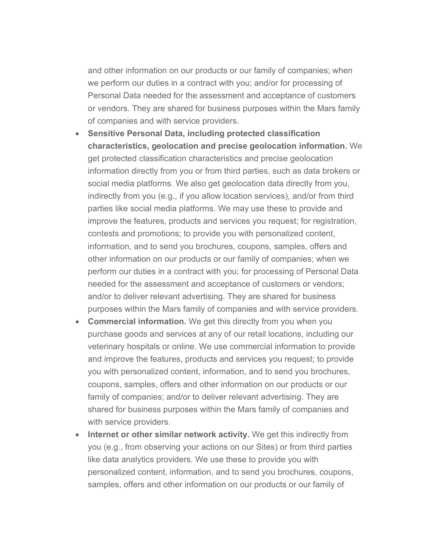and other information on our products or our family of companies; when we perform our duties in a contract with you; and/or for processing of Personal Data needed for the assessment and acceptance of customers or vendors. They are shared for business purposes within the Mars family of companies and with service providers.

- **Sensitive Personal Data, including protected classification characteristics, geolocation and precise geolocation information.** We get protected classification characteristics and precise geolocation information directly from you or from third parties, such as data brokers or social media platforms. We also get geolocation data directly from you, indirectly from you (e.g., if you allow location services), and/or from third parties like social media platforms. We may use these to provide and improve the features, products and services you request; for registration, contests and promotions; to provide you with personalized content, information, and to send you brochures, coupons, samples, offers and other information on our products or our family of companies; when we perform our duties in a contract with you; for processing of Personal Data needed for the assessment and acceptance of customers or vendors; and/or to deliver relevant advertising. They are shared for business purposes within the Mars family of companies and with service providers.
- **Commercial information.** We get this directly from you when you purchase goods and services at any of our retail locations, including our veterinary hospitals or online. We use commercial information to provide and improve the features, products and services you request; to provide you with personalized content, information, and to send you brochures, coupons, samples, offers and other information on our products or our family of companies; and/or to deliver relevant advertising. They are shared for business purposes within the Mars family of companies and with service providers.
- **Internet or other similar network activity.** We get this indirectly from you (e.g., from observing your actions on our Sites) or from third parties like data analytics providers. We use these to provide you with personalized content, information, and to send you brochures, coupons, samples, offers and other information on our products or our family of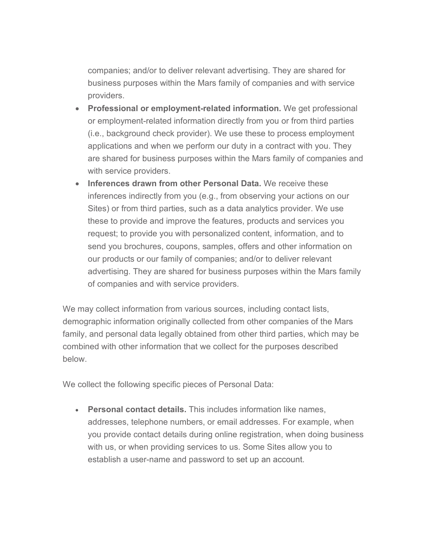companies; and/or to deliver relevant advertising. They are shared for business purposes within the Mars family of companies and with service providers.

- **Professional or employment-related information.** We get professional or employment-related information directly from you or from third parties (i.e., background check provider). We use these to process employment applications and when we perform our duty in a contract with you. They are shared for business purposes within the Mars family of companies and with service providers.
- **Inferences drawn from other Personal Data.** We receive these inferences indirectly from you (e.g., from observing your actions on our Sites) or from third parties, such as a data analytics provider. We use these to provide and improve the features, products and services you request; to provide you with personalized content, information, and to send you brochures, coupons, samples, offers and other information on our products or our family of companies; and/or to deliver relevant advertising. They are shared for business purposes within the Mars family of companies and with service providers.

We may collect information from various sources, including contact lists, demographic information originally collected from other companies of the Mars family, and personal data legally obtained from other third parties, which may be combined with other information that we collect for the purposes described below.

We collect the following specific pieces of Personal Data:

• **Personal contact details.** This includes information like names, addresses, telephone numbers, or email addresses. For example, when you provide contact details during online registration, when doing business with us, or when providing services to us. Some Sites allow you to establish a user-name and password to set up an account.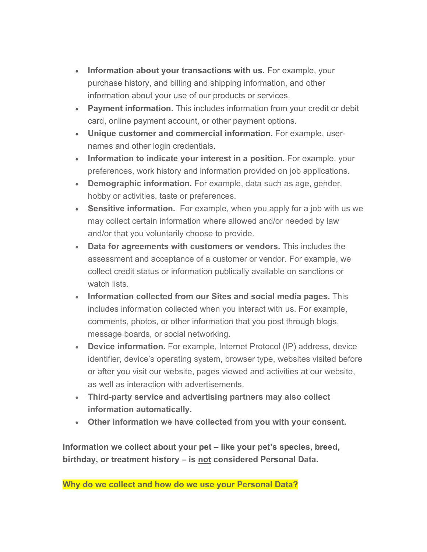- Information about your transactions with us. For example, your purchase history, and billing and shipping information, and other information about your use of our products or services.
- **Payment information.** This includes information from your credit or debit card, online payment account, or other payment options.
- **Unique customer and commercial information.** For example, usernames and other login credentials.
- **Information to indicate your interest in a position.** For example, your preferences, work history and information provided on job applications.
- **Demographic information.** For example, data such as age, gender, hobby or activities, taste or preferences.
- **Sensitive information.** For example, when you apply for a job with us we may collect certain information where allowed and/or needed by law and/or that you voluntarily choose to provide.
- **Data for agreements with customers or vendors.** This includes the assessment and acceptance of a customer or vendor. For example, we collect credit status or information publically available on sanctions or watch lists.
- **Information collected from our Sites and social media pages.** This includes information collected when you interact with us. For example, comments, photos, or other information that you post through blogs, message boards, or social networking.
- **Device information.** For example, Internet Protocol (IP) address, device identifier, device's operating system, browser type, websites visited before or after you visit our website, pages viewed and activities at our website, as well as interaction with advertisements.
- **Third-party service and advertising partners may also collect information automatically.**
- **Other information we have collected from you with your consent.**

**Information we collect about your pet – like your pet's species, breed, birthday, or treatment history – is not considered Personal Data.**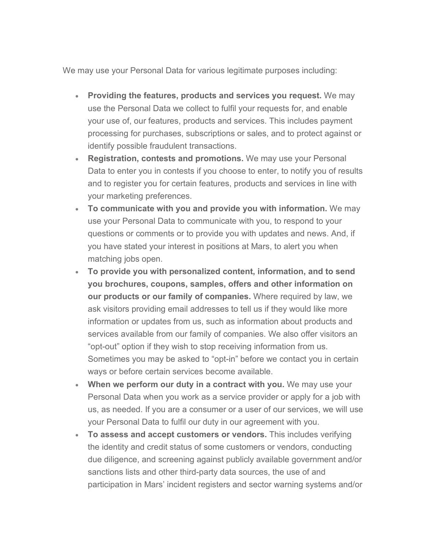We may use your Personal Data for various legitimate purposes including:

- **Providing the features, products and services you request.** We may use the Personal Data we collect to fulfil your requests for, and enable your use of, our features, products and services. This includes payment processing for purchases, subscriptions or sales, and to protect against or identify possible fraudulent transactions.
- **Registration, contests and promotions.** We may use your Personal Data to enter you in contests if you choose to enter, to notify you of results and to register you for certain features, products and services in line with your marketing preferences.
- **To communicate with you and provide you with information.** We may use your Personal Data to communicate with you, to respond to your questions or comments or to provide you with updates and news. And, if you have stated your interest in positions at Mars, to alert you when matching jobs open.
- **To provide you with personalized content, information, and to send you brochures, coupons, samples, offers and other information on our products or our family of companies.** Where required by law, we ask visitors providing email addresses to tell us if they would like more information or updates from us, such as information about products and services available from our family of companies. We also offer visitors an "opt-out" option if they wish to stop receiving information from us. Sometimes you may be asked to "opt-in" before we contact you in certain ways or before certain services become available.
- **When we perform our duty in a contract with you.** We may use your Personal Data when you work as a service provider or apply for a job with us, as needed. If you are a consumer or a user of our services, we will use your Personal Data to fulfil our duty in our agreement with you.
- **To assess and accept customers or vendors.** This includes verifying the identity and credit status of some customers or vendors, conducting due diligence, and screening against publicly available government and/or sanctions lists and other third-party data sources, the use of and participation in Mars' incident registers and sector warning systems and/or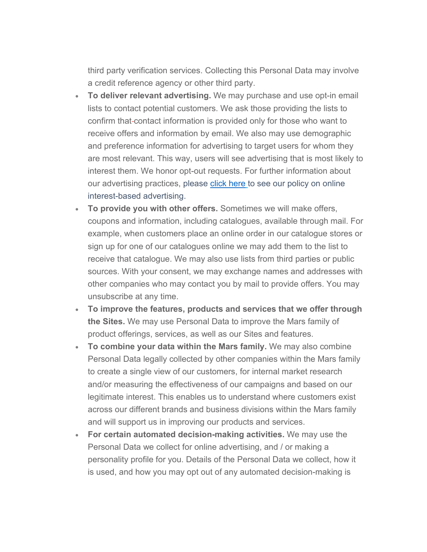third party verification services. Collecting this Personal Data may involve a credit reference agency or other third party.

- **To deliver relevant advertising.** We may purchase and use opt-in email lists to contact potential customers. We ask those providing the lists to confirm that-contact information is provided only for those who want to receive offers and information by email. We also may use demographic and preference information for advertising to target users for whom they are most relevant. This way, users will see advertising that is most likely to interest them. We honor opt-out requests. For further information about our advertising practices, please [click here](https://www.mars.com/mars-incorporated-adchoices-united-states) to see our policy on online interest-based advertising.
- **To provide you with other offers.** Sometimes we will make offers, coupons and information, including catalogues, available through mail. For example, when customers place an online order in our catalogue stores or sign up for one of our catalogues online we may add them to the list to receive that catalogue. We may also use lists from third parties or public sources. With your consent, we may exchange names and addresses with other companies who may contact you by mail to provide offers. You may unsubscribe at any time.
- **To improve the features, products and services that we offer through the Sites.** We may use Personal Data to improve the Mars family of product offerings, services, as well as our Sites and features.
- **To combine your data within the Mars family.** We may also combine Personal Data legally collected by other companies within the Mars family to create a single view of our customers, for internal market research and/or measuring the effectiveness of our campaigns and based on our legitimate interest. This enables us to understand where customers exist across our different brands and business divisions within the Mars family and will support us in improving our products and services.
- **For certain automated decision-making activities.** We may use the Personal Data we collect for online advertising, and / or making a personality profile for you. Details of the Personal Data we collect, how it is used, and how you may opt out of any automated decision-making is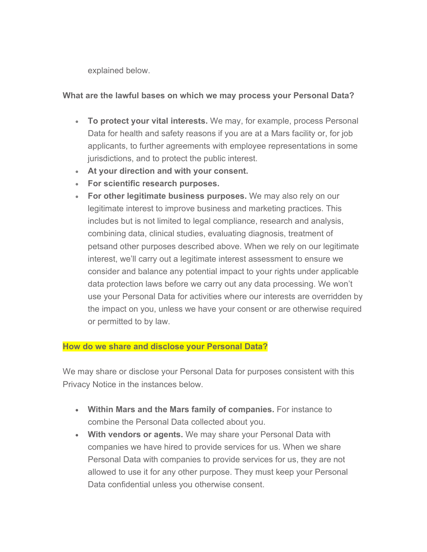explained below.

### **What are the lawful bases on which we may process your Personal Data?**

- **To protect your vital interests.** We may, for example, process Personal Data for health and safety reasons if you are at a Mars facility or, for job applicants, to further agreements with employee representations in some jurisdictions, and to protect the public interest.
- **At your direction and with your consent.**
- **For scientific research purposes.**
- **For other legitimate business purposes.** We may also rely on our legitimate interest to improve business and marketing practices. This includes but is not limited to legal compliance, research and analysis, combining data, clinical studies, evaluating diagnosis, treatment of petsand other purposes described above. When we rely on our legitimate interest, we'll carry out a legitimate interest assessment to ensure we consider and balance any potential impact to your rights under applicable data protection laws before we carry out any data processing. We won't use your Personal Data for activities where our interests are overridden by the impact on you, unless we have your consent or are otherwise required or permitted to by law.

## **How do we share and disclose your Personal Data?**

We may share or disclose your Personal Data for purposes consistent with this Privacy Notice in the instances below.

- **Within Mars and the Mars family of companies.** For instance to combine the Personal Data collected about you.
- **With vendors or agents.** We may share your Personal Data with companies we have hired to provide services for us. When we share Personal Data with companies to provide services for us, they are not allowed to use it for any other purpose. They must keep your Personal Data confidential unless you otherwise consent.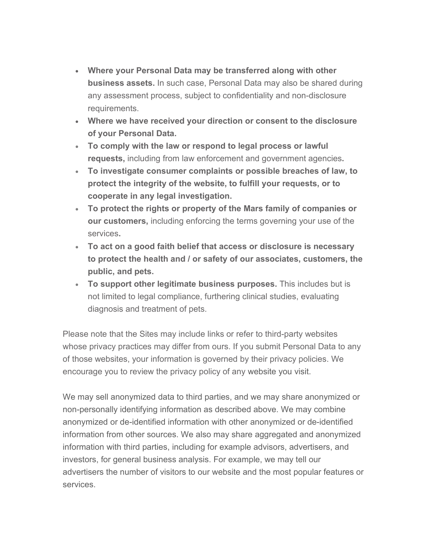- **Where your Personal Data may be transferred along with other business assets.** In such case, Personal Data may also be shared during any assessment process, subject to confidentiality and non-disclosure requirements.
- **Where we have received your direction or consent to the disclosure of your Personal Data.**
- **To comply with the law or respond to legal process or lawful requests,** including from law enforcement and government agencies**.**
- **To investigate consumer complaints or possible breaches of law, to protect the integrity of the website, to fulfill your requests, or to cooperate in any legal investigation.**
- **To protect the rights or property of the Mars family of companies or our customers,** including enforcing the terms governing your use of the services**.**
- **To act on a good faith belief that access or disclosure is necessary to protect the health and / or safety of our associates, customers, the public, and pets.**
- **To support other legitimate business purposes.** This includes but is not limited to legal compliance, furthering clinical studies, evaluating diagnosis and treatment of pets.

Please note that the Sites may include links or refer to third-party websites whose privacy practices may differ from ours. If you submit Personal Data to any of those websites, your information is governed by their privacy policies. We encourage you to review the privacy policy of any website you visit.

We may sell anonymized data to third parties, and we may share anonymized or non-personally identifying information as described above. We may combine anonymized or de-identified information with other anonymized or de-identified information from other sources. We also may share aggregated and anonymized information with third parties, including for example advisors, advertisers, and investors, for general business analysis. For example, we may tell our advertisers the number of visitors to our website and the most popular features or services.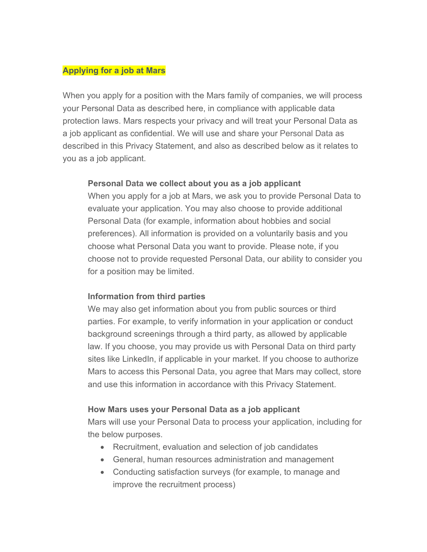#### **Applying for a job at Mars**

When you apply for a position with the Mars family of companies, we will process your Personal Data as described here, in compliance with applicable data protection laws. Mars respects your privacy and will treat your Personal Data as a job applicant as confidential. We will use and share your Personal Data as described in this Privacy Statement, and also as described below as it relates to you as a job applicant.

#### **Personal Data we collect about you as a job applicant**

When you apply for a job at Mars, we ask you to provide Personal Data to evaluate your application. You may also choose to provide additional Personal Data (for example, information about hobbies and social preferences). All information is provided on a voluntarily basis and you choose what Personal Data you want to provide. Please note, if you choose not to provide requested Personal Data, our ability to consider you for a position may be limited.

### **Information from third parties**

We may also get information about you from public sources or third parties. For example, to verify information in your application or conduct background screenings through a third party, as allowed by applicable law. If you choose, you may provide us with Personal Data on third party sites like LinkedIn, if applicable in your market. If you choose to authorize Mars to access this Personal Data, you agree that Mars may collect, store and use this information in accordance with this Privacy Statement.

### **How Mars uses your Personal Data as a job applicant**

Mars will use your Personal Data to process your application, including for the below purposes.

- Recruitment, evaluation and selection of job candidates
- General, human resources administration and management
- Conducting satisfaction surveys (for example, to manage and improve the recruitment process)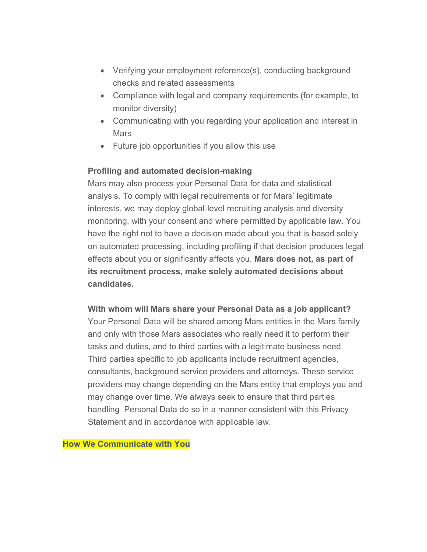- Verifying your employment reference(s), conducting background checks and related assessments
- Compliance with legal and company requirements (for example, to monitor diversity)
- Communicating with you regarding your application and interest in **Mars**
- Future job opportunities if you allow this use

## **Profiling and automated decision-making**

Mars may also process your Personal Data for data and statistical analysis. To comply with legal requirements or for Mars' legitimate interests, we may deploy global-level recruiting analysis and diversity monitoring, with your consent and where permitted by applicable law. You have the right not to have a decision made about you that is based solely on automated processing, including profiling if that decision produces legal effects about you or significantly affects you. **Mars does not, as part of its recruitment process, make solely automated decisions about candidates.** 

**With whom will Mars share your Personal Data as a job applicant?** Your Personal Data will be shared among Mars entities in the Mars family and only with those Mars associates who really need it to perform their tasks and duties, and to third parties with a legitimate business need. Third parties specific to job applicants include recruitment agencies, consultants, background service providers and attorneys. These service providers may change depending on the Mars entity that employs you and may change over time. We always seek to ensure that third parties handling Personal Data do so in a manner consistent with this Privacy Statement and in accordance with applicable law.

**How We Communicate with You**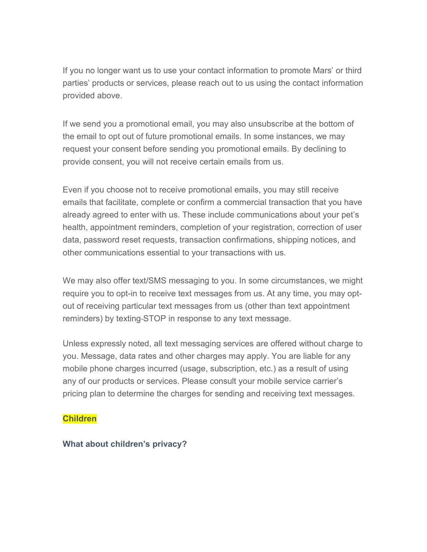If you no longer want us to use your contact information to promote Mars' or third parties' products or services, please reach out to us using the contact information provided above.

If we send you a promotional email, you may also unsubscribe at the bottom of the email to opt out of future promotional emails. In some instances, we may request your consent before sending you promotional emails. By declining to provide consent, you will not receive certain emails from us.

Even if you choose not to receive promotional emails, you may still receive emails that facilitate, complete or confirm a commercial transaction that you have already agreed to enter with us. These include communications about your pet's health, appointment reminders, completion of your registration, correction of user data, password reset requests, transaction confirmations, shipping notices, and other communications essential to your transactions with us.

We may also offer text/SMS messaging to you. In some circumstances, we might require you to opt-in to receive text messages from us. At any time, you may optout of receiving particular text messages from us (other than text appointment reminders) by texting-STOP in response to any text message.

Unless expressly noted, all text messaging services are offered without charge to you. Message, data rates and other charges may apply. You are liable for any mobile phone charges incurred (usage, subscription, etc.) as a result of using any of our products or services. Please consult your mobile service carrier's pricing plan to determine the charges for sending and receiving text messages.

#### **Children**

#### **What about children's privacy?**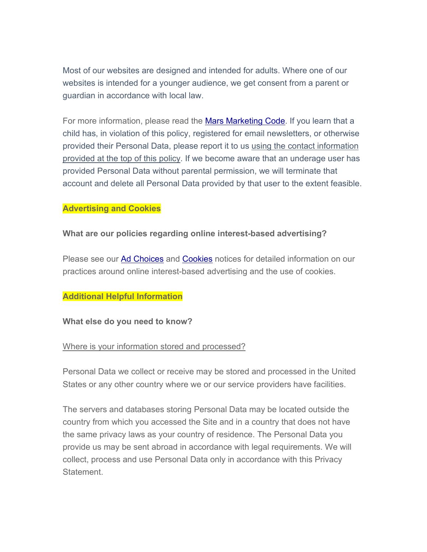Most of our websites are designed and intended for adults. Where one of our websites is intended for a younger audience, we get consent from a parent or guardian in accordance with local law.

For more information, please read the [Mars Marketing Code.](https://www.mars.com/global/about-us/policies-and-practices/marketing-code) If you learn that a child has, in violation of this policy, registered for email newsletters, or otherwise provided their Personal Data, please report it to us [using](mailto:privacy@effem.com?subject=Use%20of%20site%20by%20Child) the contact information provided at the top of this policy. If we become aware that an underage user has provided Personal Data without parental permission, we will terminate that account and delete all Personal Data provided by that user to the extent feasible.

#### **Advertising and Cookies**

#### **What are our policies regarding online interest-based advertising?**

Please see our [Ad Choices](https://www.mars.com/mars-incorporated-adchoices-united-states) and [Cookies](https://www.mars.com/cookies-english) notices for detailed information on our practices around online interest-based advertising and the use of cookies.

#### **Additional Helpful Information**

#### **What else do you need to know?**

#### Where is your information stored and processed?

Personal Data we collect or receive may be stored and processed in the United States or any other country where we or our service providers have facilities.

The servers and databases storing Personal Data may be located outside the country from which you accessed the Site and in a country that does not have the same privacy laws as your country of residence. The Personal Data you provide us may be sent abroad in accordance with legal requirements. We will collect, process and use Personal Data only in accordance with this Privacy Statement.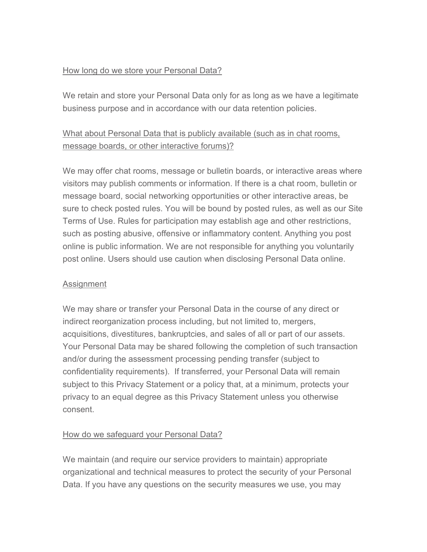### How long do we store your Personal Data?

We retain and store your Personal Data only for as long as we have a legitimate business purpose and in accordance with our data retention policies.

# What about Personal Data that is publicly available (such as in chat rooms, message boards, or other interactive forums)?

We may offer chat rooms, message or bulletin boards, or interactive areas where visitors may publish comments or information. If there is a chat room, bulletin or message board, social networking opportunities or other interactive areas, be sure to check posted rules. You will be bound by posted rules, as well as our Site Terms of Use. Rules for participation may establish age and other restrictions, such as posting abusive, offensive or inflammatory content. Anything you post online is public information. We are not responsible for anything you voluntarily post online. Users should use caution when disclosing Personal Data online.

### **Assignment**

We may share or transfer your Personal Data in the course of any direct or indirect reorganization process including, but not limited to, mergers, acquisitions, divestitures, bankruptcies, and sales of all or part of our assets. Your Personal Data may be shared following the completion of such transaction and/or during the assessment processing pending transfer (subject to confidentiality requirements). If transferred, your Personal Data will remain subject to this Privacy Statement or a policy that, at a minimum, protects your privacy to an equal degree as this Privacy Statement unless you otherwise consent.

## How do we safeguard your Personal Data?

We maintain (and require our service providers to maintain) appropriate organizational and technical measures to protect the security of your Personal Data. If you have any questions on the security measures we use, you may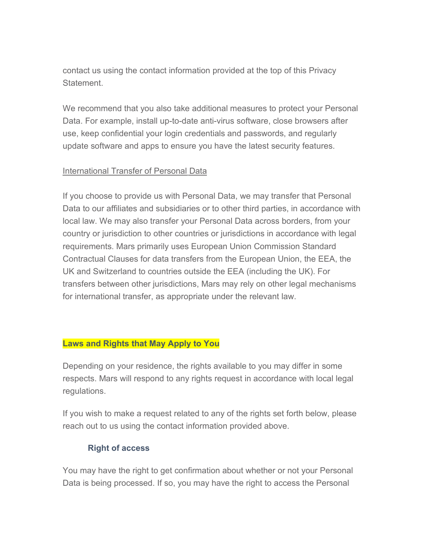contact us [using](https://privacyportal-eu-cdn.onetrust.com/dsarwebform/5f2759ff-9efe-412c-a3be-f13092d2c945/draft/52a0b366-5dde-4e9c-8c03-72676aac0cb7.html) the contact information provided at the top of this Privacy Statement.

We recommend that you also take additional measures to protect your Personal Data. For example, install up-to-date anti-virus software, close browsers after use, keep confidential your login credentials and passwords, and regularly update software and apps to ensure you have the latest security features.

#### International Transfer of Personal Data

If you choose to provide us with Personal Data, we may transfer that Personal Data to our affiliates and subsidiaries or to other third parties, in accordance with local law. We may also transfer your Personal Data across borders, from your country or jurisdiction to other countries or jurisdictions in accordance with legal requirements. Mars primarily uses European Union Commission Standard Contractual Clauses for data transfers from the European Union, the EEA, the UK and Switzerland to countries outside the EEA (including the UK). For transfers between other jurisdictions, Mars may rely on other legal mechanisms for international transfer, as appropriate under the relevant law.

#### **Laws and Rights that May Apply to You**

Depending on your residence, the rights available to you may differ in some respects. Mars will respond to any rights request in accordance with local legal regulations.

If you wish to make a request related to any of the rights set forth below, please reach out to us using the contact information provided above.

### **Right of access**

You may have the right to get confirmation about whether or not your Personal Data is being processed. If so, you may have the right to access the Personal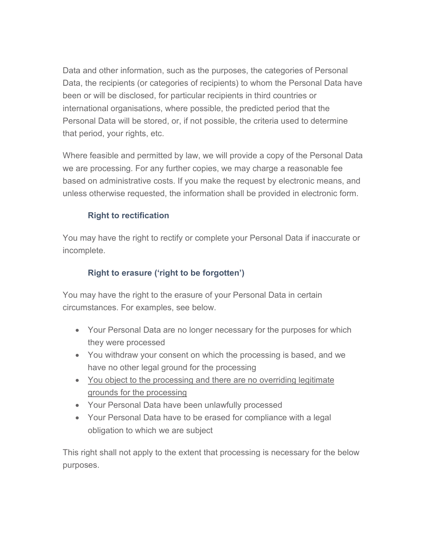Data and other information, such as the purposes, the categories of Personal Data, the recipients (or categories of recipients) to whom the Personal Data have been or will be disclosed, for particular recipients in third countries or international organisations, where possible, the predicted period that the Personal Data will be stored, or, if not possible, the criteria used to determine that period, your rights, etc.

Where feasible and permitted by law, we will provide a copy of the Personal Data we are processing. For any further copies, we may charge a reasonable fee based on administrative costs. If you make the request by electronic means, and unless otherwise requested, the information shall be provided in electronic form.

## **Right to rectification**

You may have the right to rectify or complete your Personal Data if inaccurate or incomplete.

## **Right to erasure ('right to be forgotten')**

You may have the right to the erasure of your Personal Data in certain circumstances. For examples, see below.

- Your Personal Data are no longer necessary for the purposes for which they were processed
- You withdraw your consent on which the processing is based, and we have no other legal ground for the processing
- You object to the processing and there are no overriding legitimate grounds for the processing
- Your Personal Data have been unlawfully processed
- Your Personal Data have to be erased for compliance with a legal obligation to which we are subject

This right shall not apply to the extent that processing is necessary for the below purposes.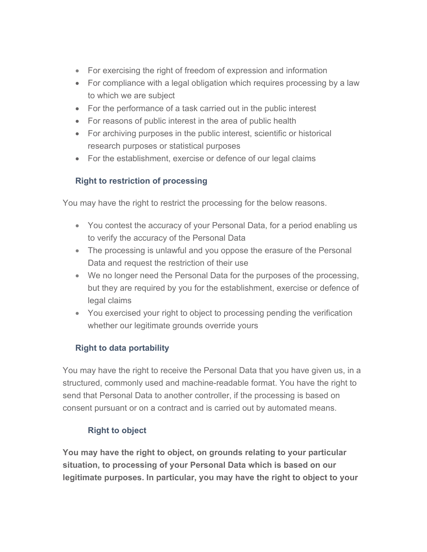- For exercising the right of freedom of expression and information
- For compliance with a legal obligation which requires processing by a law to which we are subject
- For the performance of a task carried out in the public interest
- For reasons of public interest in the area of public health
- For archiving purposes in the public interest, scientific or historical research purposes or statistical purposes
- For the establishment, exercise or defence of our legal claims

# **Right to restriction of processing**

You may have the right to restrict the processing for the below reasons.

- You contest the accuracy of your Personal Data, for a period enabling us to verify the accuracy of the Personal Data
- The processing is unlawful and you oppose the erasure of the Personal Data and request the restriction of their use
- We no longer need the Personal Data for the purposes of the processing, but they are required by you for the establishment, exercise or defence of legal claims
- You exercised your right to object to processing pending the verification whether our legitimate grounds override yours

# **Right to data portability**

You may have the right to receive the Personal Data that you have given us, in a structured, commonly used and machine-readable format. You have the right to send that Personal Data to another controller, if the processing is based on consent pursuant or on a contract and is carried out by automated means.

# **Right to object**

**You may have the right to object, on grounds relating to your particular situation, to processing of your Personal Data which is based on our legitimate purposes. In particular, you may have the right to object to your**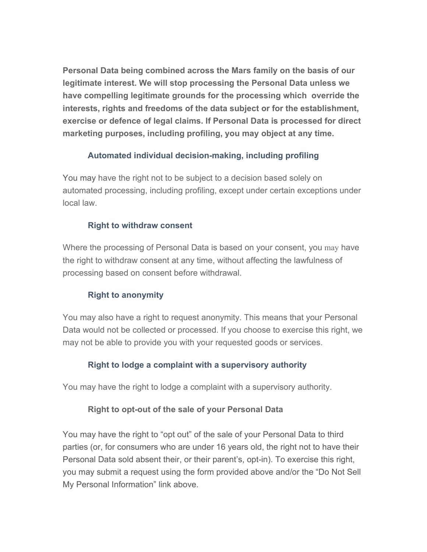**Personal Data being combined across the Mars family on the basis of our legitimate interest. We will stop processing the Personal Data unless we have compelling legitimate grounds for the processing which override the interests, rights and freedoms of the data subject or for the establishment, exercise or defence of legal claims. If Personal Data is processed for direct marketing purposes, including profiling, you may object at any time.**

## **Automated individual decision-making, including profiling**

You may have the right not to be subject to a decision based solely on automated processing, including profiling, except under certain exceptions under local law.

### **Right to withdraw consent**

Where the processing of Personal Data is based on your consent, you may have the right to withdraw consent at any time, without affecting the lawfulness of processing based on consent before withdrawal.

## **Right to anonymity**

You may also have a right to request anonymity. This means that your Personal Data would not be collected or processed. If you choose to exercise this right, we may not be able to provide you with your requested goods or services.

### **Right to lodge a complaint with a supervisory authority**

You may have the right to lodge a complaint with a supervisory authority.

### **Right to opt-out of the sale of your Personal Data**

You may have the right to "opt out" of the sale of your Personal Data to third parties (or, for consumers who are under 16 years old, the right not to have their Personal Data sold absent their, or their parent's, opt-in). To exercise this right, you may submit a request using the form provided above and/or the "Do Not Sell My Personal Information" link above.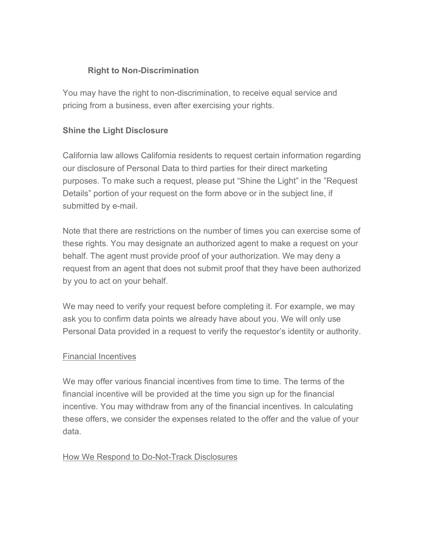## **Right to Non-Discrimination**

You may have the right to non-discrimination, to receive equal service and pricing from a business, even after exercising your rights.

## **Shine the Light Disclosure**

California law allows California residents to request certain information regarding our disclosure of Personal Data to third parties for their direct marketing purposes. To make such a request, please put "Shine the Light" in the "Request Details" portion of your request on the form above or in the subject line, if submitted by e-mail.

Note that there are restrictions on the number of times you can exercise some of these rights. You may designate an authorized agent to make a request on your behalf. The agent must provide proof of your authorization. We may deny a request from an agent that does not submit proof that they have been authorized by you to act on your behalf.

We may need to verify your request before completing it. For example, we may ask you to confirm data points we already have about you. We will only use Personal Data provided in a request to verify the requestor's identity or authority.

## Financial Incentives

We may offer various financial incentives from time to time. The terms of the financial incentive will be provided at the time you sign up for the financial incentive. You may withdraw from any of the financial incentives. In calculating these offers, we consider the expenses related to the offer and the value of your data.

## How We Respond to Do-Not-Track Disclosures